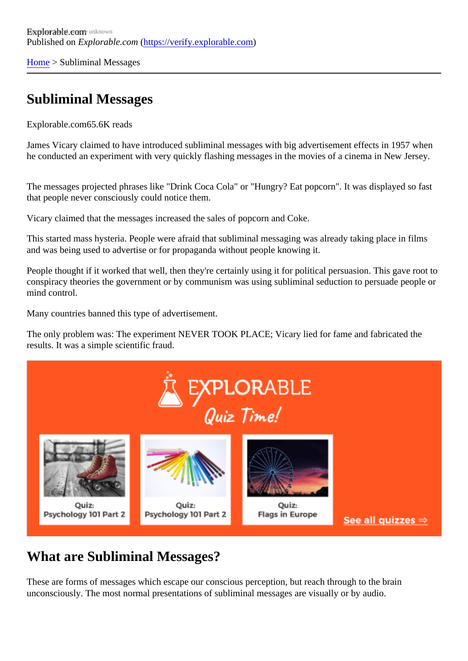[Home](https://verify.explorable.com/) > Subliminal Messages

## Subliminal Messages

Explorable.cor65.6K reads

James Vicary claimed to have introduced subliminal messages with big advertisement effects in 1957 whe he conducted an experiment with very quickly flashing messages in the movies of a cinema in New Jersey.

The messages projected phrases like "Drink Coca Cola" or "Hungry? Eat popcorn". It was displayed so fast that people never consciously could notice them.

Vicary claimed that the messages increased the sales of popcorn and Coke.

This started mass hysteria. People were afraid that subliminal messaging was already taking place in films and was being used to advertise or for propaganda without people knowing it.

People thought if it worked that well, then they're certainly using it for political persuasion. This gave root to conspiracy theories the government or by communism was using subliminal seduction to persuade people mind control.

Many countries banned this type of advertisement.

The only problem was: The experiment NEVER TOOK PLACE; Vicary lied for fame and fabricated the results. It was a simple scientific fraud.

## What are Subliminal Messages?

These are forms of messages which escape our conscious perception, but reach through to the brain unconsciously. The most normal presentations of subliminal messages are visually or by audio.